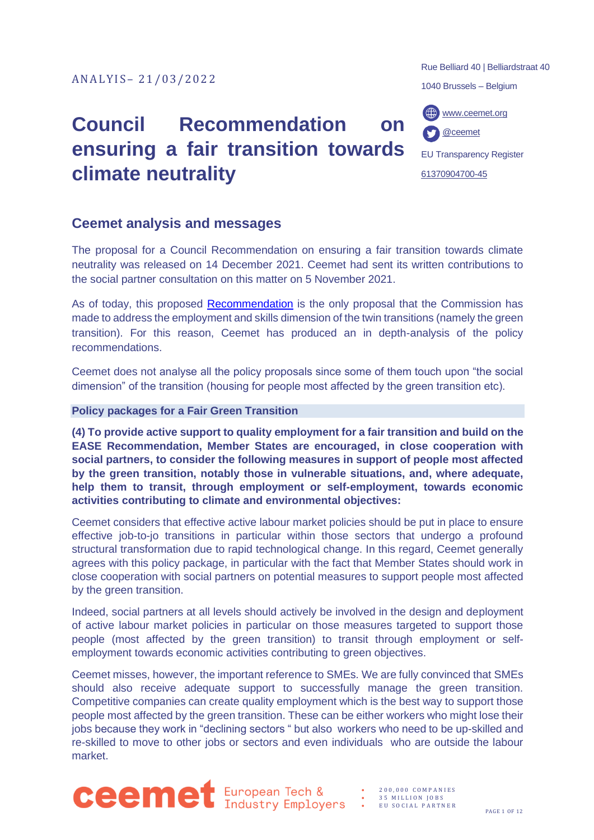# **Council Recommendation on ensuring a fair transition towards climate neutrality**

# **Ceemet analysis and messages**

The proposal for a Council Recommendation on ensuring a fair transition towards climate neutrality was released on 14 December 2021. Ceemet had sent its written contributions to the social partner consultation on this matter on 5 November 2021.

As of today, this proposed [Recommendation](https://ec.europa.eu/social/main.jsp?langId=en&catId=89&newsId=10125&furtherNews=yes) is the only proposal that the Commission has made to address the employment and skills dimension of the twin transitions (namely the green transition). For this reason, Ceemet has produced an in depth-analysis of the policy recommendations.

Ceemet does not analyse all the policy proposals since some of them touch upon "the social dimension" of the transition (housing for people most affected by the green transition etc).

### **Policy packages for a Fair Green Transition**

**(4) To provide active support to quality employment for a fair transition and build on the EASE Recommendation, Member States are encouraged, in close cooperation with social partners, to consider the following measures in support of people most affected by the green transition, notably those in vulnerable situations, and, where adequate, help them to transit, through employment or self-employment, towards economic activities contributing to climate and environmental objectives:** 

Ceemet considers that effective active labour market policies should be put in place to ensure effective job-to-jo transitions in particular within those sectors that undergo a profound structural transformation due to rapid technological change. In this regard, Ceemet generally agrees with this policy package, in particular with the fact that Member States should work in close cooperation with social partners on potential measures to support people most affected by the green transition.

Indeed, social partners at all levels should actively be involved in the design and deployment of active labour market policies in particular on those measures targeted to support those people (most affected by the green transition) to transit through employment or selfemployment towards economic activities contributing to green objectives.

Ceemet misses, however, the important reference to SMEs. We are fully convinced that SMEs should also receive adequate support to successfully manage the green transition. Competitive companies can create quality employment which is the best way to support those people most affected by the green transition. These can be either workers who might lose their jobs because they work in "declining sectors " but also workers who need to be up-skilled and re-skilled to move to other jobs or sectors and even individuals who are outside the labour market.

Rue Belliard 40 | Belliardstraat 40

1040 Brussels – Belgium

[www.ceemet.org](http://www.ceemet.org/) [@ceemet](https://twitter.com/CEEMET)

EU Transparency Register [61370904700-45](http://ec.europa.eu/transparencyregister/public/consultation/displaylobbyist.do?id=61370904700-45&isListLobbyistView=true)

**Ceemet** European Tech &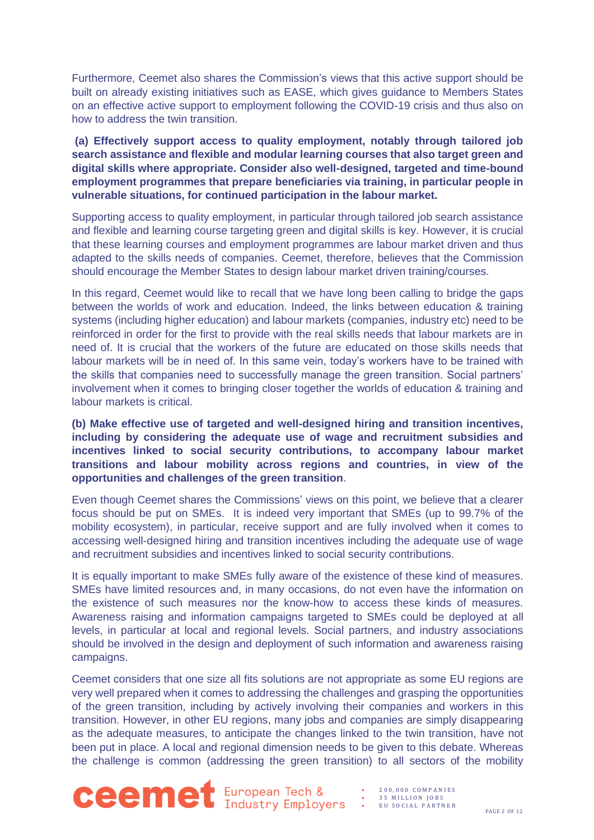Furthermore, Ceemet also shares the Commission's views that this active support should be built on already existing initiatives such as EASE, which gives guidance to Members States on an effective active support to employment following the COVID-19 crisis and thus also on how to address the twin transition.

**(a) Effectively support access to quality employment, notably through tailored job search assistance and flexible and modular learning courses that also target green and digital skills where appropriate. Consider also well-designed, targeted and time-bound employment programmes that prepare beneficiaries via training, in particular people in vulnerable situations, for continued participation in the labour market.** 

Supporting access to quality employment, in particular through tailored job search assistance and flexible and learning course targeting green and digital skills is key. However, it is crucial that these learning courses and employment programmes are labour market driven and thus adapted to the skills needs of companies. Ceemet, therefore, believes that the Commission should encourage the Member States to design labour market driven training/courses.

In this regard, Ceemet would like to recall that we have long been calling to bridge the gaps between the worlds of work and education. Indeed, the links between education & training systems (including higher education) and labour markets (companies, industry etc) need to be reinforced in order for the first to provide with the real skills needs that labour markets are in need of. It is crucial that the workers of the future are educated on those skills needs that labour markets will be in need of. In this same vein, today's workers have to be trained with the skills that companies need to successfully manage the green transition. Social partners' involvement when it comes to bringing closer together the worlds of education & training and labour markets is critical.

**(b) Make effective use of targeted and well-designed hiring and transition incentives, including by considering the adequate use of wage and recruitment subsidies and incentives linked to social security contributions, to accompany labour market transitions and labour mobility across regions and countries, in view of the opportunities and challenges of the green transition**.

Even though Ceemet shares the Commissions' views on this point, we believe that a clearer focus should be put on SMEs. It is indeed very important that SMEs (up to 99.7% of the mobility ecosystem), in particular, receive support and are fully involved when it comes to accessing well-designed hiring and transition incentives including the adequate use of wage and recruitment subsidies and incentives linked to social security contributions.

It is equally important to make SMEs fully aware of the existence of these kind of measures. SMEs have limited resources and, in many occasions, do not even have the information on the existence of such measures nor the know-how to access these kinds of measures. Awareness raising and information campaigns targeted to SMEs could be deployed at all levels, in particular at local and regional levels. Social partners, and industry associations should be involved in the design and deployment of such information and awareness raising campaigns.

Ceemet considers that one size all fits solutions are not appropriate as some EU regions are very well prepared when it comes to addressing the challenges and grasping the opportunities of the green transition, including by actively involving their companies and workers in this transition. However, in other EU regions, many jobs and companies are simply disappearing as the adequate measures, to anticipate the changes linked to the twin transition, have not been put in place. A local and regional dimension needs to be given to this debate. Whereas the challenge is common (addressing the green transition) to all sectors of the mobility



• 2 0 0 , 0 0 0 C O M P A N I E S 35 MILLION JOBS

EU SOCIAL PARTNER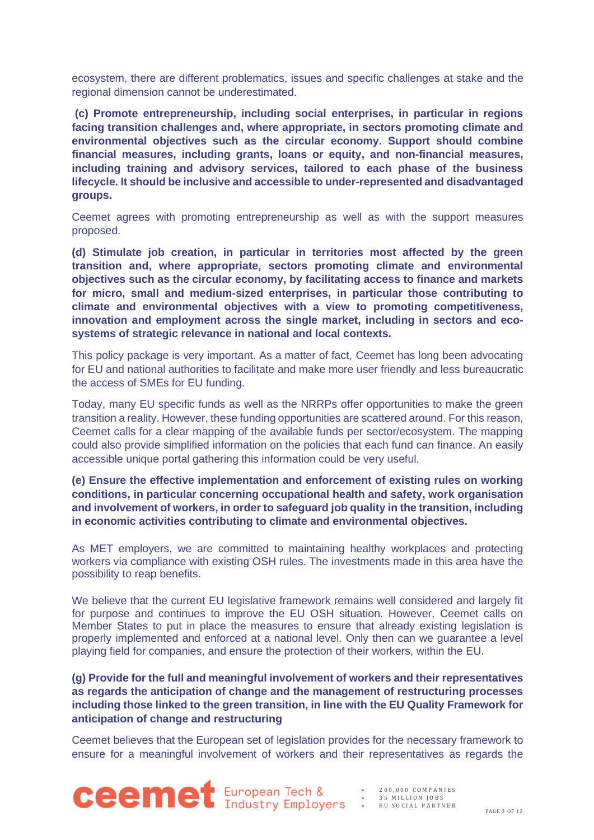ecosystem, there are different problematics, issues and specific challenges at stake and the regional dimension cannot be underestimated.

**(c) Promote entrepreneurship, including social enterprises, in particular in regions facing transition challenges and, where appropriate, in sectors promoting climate and environmental objectives such as the circular economy. Support should combine financial measures, including grants, loans or equity, and non-financial measures, including training and advisory services, tailored to each phase of the business lifecycle. It should be inclusive and accessible to under-represented and disadvantaged groups.** 

Ceemet agrees with promoting entrepreneurship as well as with the support measures proposed.

**(d) Stimulate job creation, in particular in territories most affected by the green transition and, where appropriate, sectors promoting climate and environmental objectives such as the circular economy, by facilitating access to finance and markets for micro, small and medium-sized enterprises, in particular those contributing to climate and environmental objectives with a view to promoting competitiveness, innovation and employment across the single market, including in sectors and ecosystems of strategic relevance in national and local contexts.** 

This policy package is very important. As a matter of fact, Ceemet has long been advocating for EU and national authorities to facilitate and make more user friendly and less bureaucratic the access of SMEs for EU funding.

Today, many EU specific funds as well as the NRRPs offer opportunities to make the green transition a reality. However, these funding opportunities are scattered around. For this reason, Ceemet calls for a clear mapping of the available funds per sector/ecosystem. The mapping could also provide simplified information on the policies that each fund can finance. An easily accessible unique portal gathering this information could be very useful.

#### **(e) Ensure the effective implementation and enforcement of existing rules on working conditions, in particular concerning occupational health and safety, work organisation and involvement of workers, in order to safeguard job quality in the transition, including in economic activities contributing to climate and environmental objectives.**

As MET employers, we are committed to maintaining healthy workplaces and protecting workers via compliance with existing OSH rules. The investments made in this area have the possibility to reap benefits.

We believe that the current EU legislative framework remains well considered and largely fit for purpose and continues to improve the EU OSH situation. However, Ceemet calls on Member States to put in place the measures to ensure that already existing legislation is properly implemented and enforced at a national level. Only then can we guarantee a level playing field for companies, and ensure the protection of their workers, within the EU.

## **(g) Provide for the full and meaningful involvement of workers and their representatives as regards the anticipation of change and the management of restructuring processes including those linked to the green transition, in line with the EU Quality Framework for anticipation of change and restructuring**

Ceemet believes that the European set of legislation provides for the necessary framework to ensure for a meaningful involvement of workers and their representatives as regards the

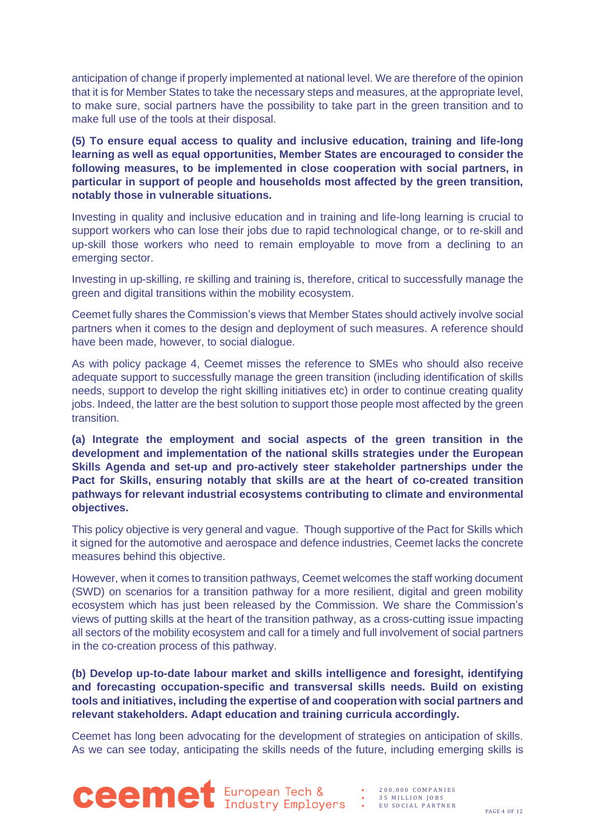anticipation of change if properly implemented at national level. We are therefore of the opinion that it is for Member States to take the necessary steps and measures, at the appropriate level, to make sure, social partners have the possibility to take part in the green transition and to make full use of the tools at their disposal.

**(5) To ensure equal access to quality and inclusive education, training and life-long learning as well as equal opportunities, Member States are encouraged to consider the following measures, to be implemented in close cooperation with social partners, in particular in support of people and households most affected by the green transition, notably those in vulnerable situations.** 

Investing in quality and inclusive education and in training and life-long learning is crucial to support workers who can lose their jobs due to rapid technological change, or to re-skill and up-skill those workers who need to remain employable to move from a declining to an emerging sector.

Investing in up-skilling, re skilling and training is, therefore, critical to successfully manage the green and digital transitions within the mobility ecosystem.

Ceemet fully shares the Commission's views that Member States should actively involve social partners when it comes to the design and deployment of such measures. A reference should have been made, however, to social dialogue.

As with policy package 4, Ceemet misses the reference to SMEs who should also receive adequate support to successfully manage the green transition (including identification of skills needs, support to develop the right skilling initiatives etc) in order to continue creating quality jobs. Indeed, the latter are the best solution to support those people most affected by the green transition.

**(a) Integrate the employment and social aspects of the green transition in the development and implementation of the national skills strategies under the European Skills Agenda and set-up and pro-actively steer stakeholder partnerships under the Pact for Skills, ensuring notably that skills are at the heart of co-created transition pathways for relevant industrial ecosystems contributing to climate and environmental objectives.**

This policy objective is very general and vague. Though supportive of the Pact for Skills which it signed for the automotive and aerospace and defence industries, Ceemet lacks the concrete measures behind this objective.

However, when it comes to transition pathways, Ceemet welcomes the staff working document (SWD) on scenarios for a transition pathway for a more resilient, digital and green mobility ecosystem which has just been released by the Commission. We share the Commission's views of putting skills at the heart of the transition pathway, as a cross-cutting issue impacting all sectors of the mobility ecosystem and call for a timely and full involvement of social partners in the co-creation process of this pathway.

**(b) Develop up-to-date labour market and skills intelligence and foresight, identifying and forecasting occupation-specific and transversal skills needs. Build on existing tools and initiatives, including the expertise of and cooperation with social partners and relevant stakeholders. Adapt education and training curricula accordingly.** 

Ceemet has long been advocating for the development of strategies on anticipation of skills. As we can see today, anticipating the skills needs of the future, including emerging skills is



- 2 0 0 , 0 0 0 C O M P A N I E S 35 MILLION JOBS
- E U S O C I A L P A R T N E R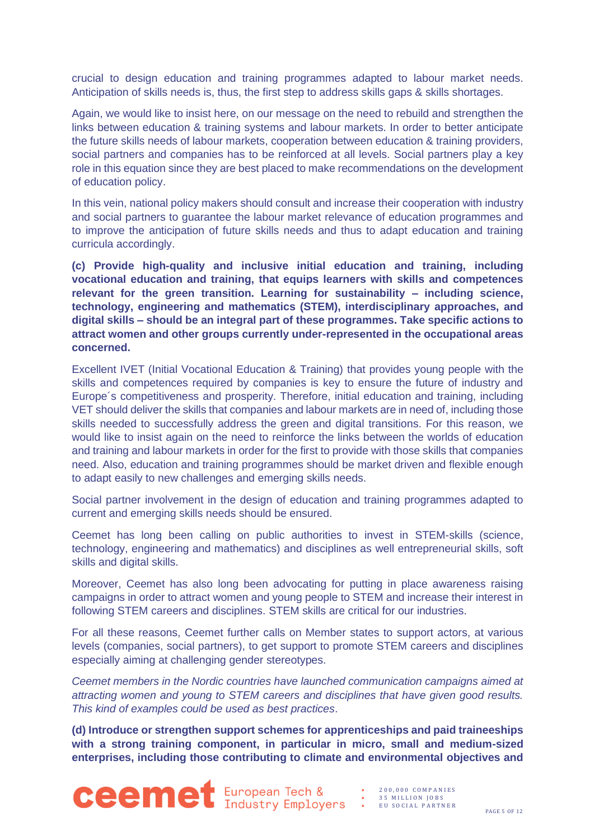crucial to design education and training programmes adapted to labour market needs. Anticipation of skills needs is, thus, the first step to address skills gaps & skills shortages.

Again, we would like to insist here, on our message on the need to rebuild and strengthen the links between education & training systems and labour markets. In order to better anticipate the future skills needs of labour markets, cooperation between education & training providers, social partners and companies has to be reinforced at all levels. Social partners play a key role in this equation since they are best placed to make recommendations on the development of education policy.

In this vein, national policy makers should consult and increase their cooperation with industry and social partners to guarantee the labour market relevance of education programmes and to improve the anticipation of future skills needs and thus to adapt education and training curricula accordingly.

**(c) Provide high-quality and inclusive initial education and training, including vocational education and training, that equips learners with skills and competences relevant for the green transition. Learning for sustainability – including science, technology, engineering and mathematics (STEM), interdisciplinary approaches, and digital skills – should be an integral part of these programmes. Take specific actions to attract women and other groups currently under-represented in the occupational areas concerned.** 

Excellent IVET (Initial Vocational Education & Training) that provides young people with the skills and competences required by companies is key to ensure the future of industry and Europe´s competitiveness and prosperity. Therefore, initial education and training, including VET should deliver the skills that companies and labour markets are in need of, including those skills needed to successfully address the green and digital transitions. For this reason, we would like to insist again on the need to reinforce the links between the worlds of education and training and labour markets in order for the first to provide with those skills that companies need. Also, education and training programmes should be market driven and flexible enough to adapt easily to new challenges and emerging skills needs.

Social partner involvement in the design of education and training programmes adapted to current and emerging skills needs should be ensured.

Ceemet has long been calling on public authorities to invest in STEM-skills (science, technology, engineering and mathematics) and disciplines as well entrepreneurial skills, soft skills and digital skills.

Moreover, Ceemet has also long been advocating for putting in place awareness raising campaigns in order to attract women and young people to STEM and increase their interest in following STEM careers and disciplines. STEM skills are critical for our industries.

For all these reasons, Ceemet further calls on Member states to support actors, at various levels (companies, social partners), to get support to promote STEM careers and disciplines especially aiming at challenging gender stereotypes.

*Ceemet members in the Nordic countries have launched communication campaigns aimed at attracting women and young to STEM careers and disciplines that have given good results. This kind of examples could be used as best practices*.

**(d) Introduce or strengthen support schemes for apprenticeships and paid traineeships with a strong training component, in particular in micro, small and medium-sized enterprises, including those contributing to climate and environmental objectives and** 



• 2 0 0 , 0 0 0 C O M P A N I E S 35 MILLION JOBS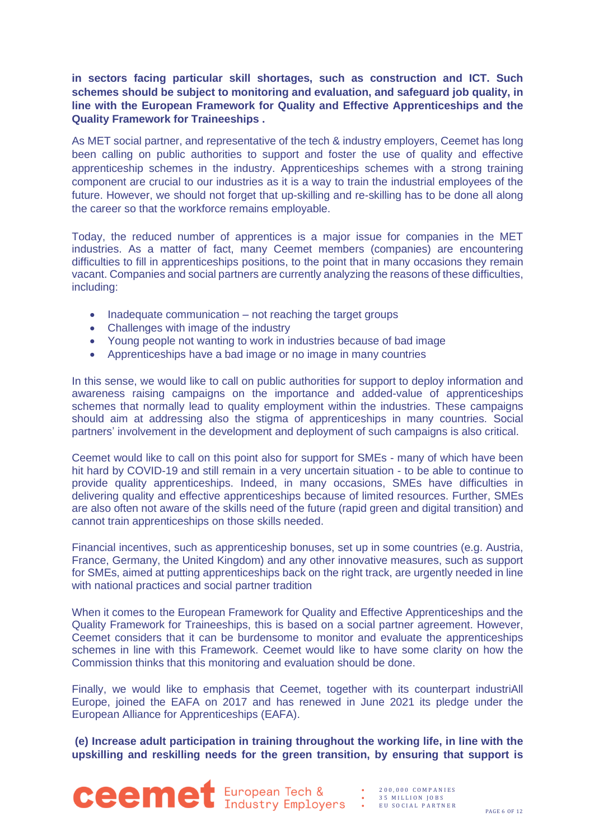### **in sectors facing particular skill shortages, such as construction and ICT. Such schemes should be subject to monitoring and evaluation, and safeguard job quality, in line with the European Framework for Quality and Effective Apprenticeships and the Quality Framework for Traineeships .**

As MET social partner, and representative of the tech & industry employers, Ceemet has long been calling on public authorities to support and foster the use of quality and effective apprenticeship schemes in the industry. Apprenticeships schemes with a strong training component are crucial to our industries as it is a way to train the industrial employees of the future. However, we should not forget that up-skilling and re-skilling has to be done all along the career so that the workforce remains employable.

Today, the reduced number of apprentices is a major issue for companies in the MET industries. As a matter of fact, many Ceemet members (companies) are encountering difficulties to fill in apprenticeships positions, to the point that in many occasions they remain vacant. Companies and social partners are currently analyzing the reasons of these difficulties, including:

- Inadequate communication not reaching the target groups
- Challenges with image of the industry
- Young people not wanting to work in industries because of bad image
- Apprenticeships have a bad image or no image in many countries

In this sense, we would like to call on public authorities for support to deploy information and awareness raising campaigns on the importance and added-value of apprenticeships schemes that normally lead to quality employment within the industries. These campaigns should aim at addressing also the stigma of apprenticeships in many countries. Social partners' involvement in the development and deployment of such campaigns is also critical.

Ceemet would like to call on this point also for support for SMEs - many of which have been hit hard by COVID-19 and still remain in a very uncertain situation - to be able to continue to provide quality apprenticeships. Indeed, in many occasions, SMEs have difficulties in delivering quality and effective apprenticeships because of limited resources. Further, SMEs are also often not aware of the skills need of the future (rapid green and digital transition) and cannot train apprenticeships on those skills needed.

Financial incentives, such as apprenticeship bonuses, set up in some countries (e.g. Austria, France, Germany, the United Kingdom) and any other innovative measures, such as support for SMEs, aimed at putting apprenticeships back on the right track, are urgently needed in line with national practices and social partner tradition

When it comes to the European Framework for Quality and Effective Apprenticeships and the Quality Framework for Traineeships, this is based on a social partner agreement. However, Ceemet considers that it can be burdensome to monitor and evaluate the apprenticeships schemes in line with this Framework. Ceemet would like to have some clarity on how the Commission thinks that this monitoring and evaluation should be done.

Finally, we would like to emphasis that Ceemet, together with its counterpart industriAll Europe, joined the EAFA on 2017 and has renewed in June 2021 its pledge under the European Alliance for Apprenticeships (EAFA).

**(e) Increase adult participation in training throughout the working life, in line with the upskilling and reskilling needs for the green transition, by ensuring that support is** 



- 35 MILLION JOBS
- EU SOCIAL PARTNER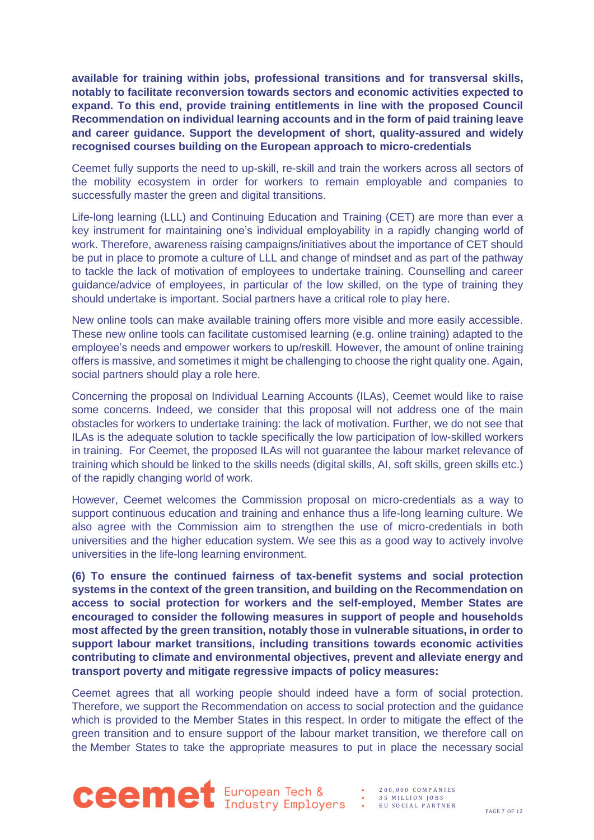**available for training within jobs, professional transitions and for transversal skills, notably to facilitate reconversion towards sectors and economic activities expected to expand. To this end, provide training entitlements in line with the proposed Council Recommendation on individual learning accounts and in the form of paid training leave and career guidance. Support the development of short, quality-assured and widely recognised courses building on the European approach to micro-credentials**

Ceemet fully supports the need to up-skill, re-skill and train the workers across all sectors of the mobility ecosystem in order for workers to remain employable and companies to successfully master the green and digital transitions.

Life-long learning (LLL) and Continuing Education and Training (CET) are more than ever a key instrument for maintaining one's individual employability in a rapidly changing world of work. Therefore, awareness raising campaigns/initiatives about the importance of CET should be put in place to promote a culture of LLL and change of mindset and as part of the pathway to tackle the lack of motivation of employees to undertake training. Counselling and career guidance/advice of employees, in particular of the low skilled, on the type of training they should undertake is important. Social partners have a critical role to play here.

New online tools can make available training offers more visible and more easily accessible. These new online tools can facilitate customised learning (e.g. online training) adapted to the employee's needs and empower workers to up/reskill. However, the amount of online training offers is massive, and sometimes it might be challenging to choose the right quality one. Again, social partners should play a role here.

Concerning the proposal on Individual Learning Accounts (ILAs), Ceemet would like to raise some concerns. Indeed, we consider that this proposal will not address one of the main obstacles for workers to undertake training: the lack of motivation. Further, we do not see that ILAs is the adequate solution to tackle specifically the low participation of low-skilled workers in training. For Ceemet, the proposed ILAs will not guarantee the labour market relevance of training which should be linked to the skills needs (digital skills, AI, soft skills, green skills etc.) of the rapidly changing world of work.

However, Ceemet welcomes the Commission proposal on micro-credentials as a way to support continuous education and training and enhance thus a life-long learning culture. We also agree with the Commission aim to strengthen the use of micro-credentials in both universities and the higher education system. We see this as a good way to actively involve universities in the life-long learning environment.

**(6) To ensure the continued fairness of tax-benefit systems and social protection systems in the context of the green transition, and building on the Recommendation on access to social protection for workers and the self-employed, Member States are encouraged to consider the following measures in support of people and households most affected by the green transition, notably those in vulnerable situations, in order to support labour market transitions, including transitions towards economic activities contributing to climate and environmental objectives, prevent and alleviate energy and transport poverty and mitigate regressive impacts of policy measures:**

Ceemet agrees that all working people should indeed have a form of social protection. Therefore, we support the Recommendation on access to social protection and the guidance which is provided to the Member States in this respect. In order to mitigate the effect of the green transition and to ensure support of the labour market transition, we therefore call on the Member States to take the appropriate measures to put in place the necessary social



• 2 0 0 , 0 0 0 C O M P A N I E S 35 MILLION JOBS • E U S O C I A L P A R T N E R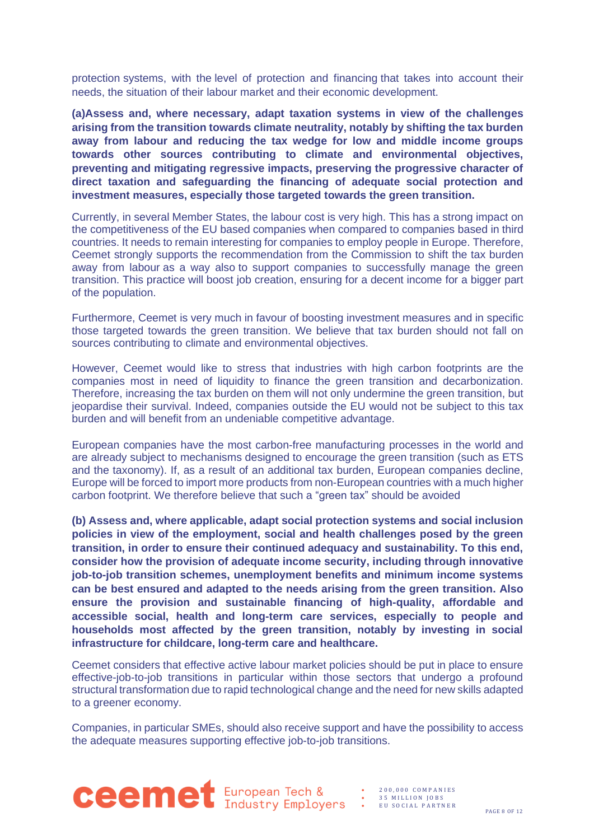protection systems, with the level of protection and financing that takes into account their needs, the situation of their labour market and their economic development.

**(a)Assess and, where necessary, adapt taxation systems in view of the challenges arising from the transition towards climate neutrality, notably by shifting the tax burden away from labour and reducing the tax wedge for low and middle income groups towards other sources contributing to climate and environmental objectives, preventing and mitigating regressive impacts, preserving the progressive character of direct taxation and safeguarding the financing of adequate social protection and investment measures, especially those targeted towards the green transition.**

Currently, in several Member States, the labour cost is very high. This has a strong impact on the competitiveness of the EU based companies when compared to companies based in third countries. It needs to remain interesting for companies to employ people in Europe. Therefore, Ceemet strongly supports the recommendation from the Commission to shift the tax burden away from labour as a way also to support companies to successfully manage the green transition. This practice will boost job creation, ensuring for a decent income for a bigger part of the population.

Furthermore, Ceemet is very much in favour of boosting investment measures and in specific those targeted towards the green transition. We believe that tax burden should not fall on sources contributing to climate and environmental objectives.

However, Ceemet would like to stress that industries with high carbon footprints are the companies most in need of liquidity to finance the green transition and decarbonization. Therefore, increasing the tax burden on them will not only undermine the green transition, but jeopardise their survival. Indeed, companies outside the EU would not be subject to this tax burden and will benefit from an undeniable competitive advantage.

European companies have the most carbon-free manufacturing processes in the world and are already subject to mechanisms designed to encourage the green transition (such as ETS and the taxonomy). If, as a result of an additional tax burden, European companies decline, Europe will be forced to import more products from non-European countries with a much higher carbon footprint. We therefore believe that such a "green tax" should be avoided

**(b) Assess and, where applicable, adapt social protection systems and social inclusion policies in view of the employment, social and health challenges posed by the green transition, in order to ensure their continued adequacy and sustainability. To this end, consider how the provision of adequate income security, including through innovative job-to-job transition schemes, unemployment benefits and minimum income systems can be best ensured and adapted to the needs arising from the green transition. Also ensure the provision and sustainable financing of high-quality, affordable and accessible social, health and long-term care services, especially to people and households most affected by the green transition, notably by investing in social infrastructure for childcare, long-term care and healthcare.** 

Ceemet considers that effective active labour market policies should be put in place to ensure effective-job-to-job transitions in particular within those sectors that undergo a profound structural transformation due to rapid technological change and the need for new skills adapted to a greener economy.

Companies, in particular SMEs, should also receive support and have the possibility to access the adequate measures supporting effective job-to-job transitions.



35 MILLION JOBS EU SOCIAL PARTNER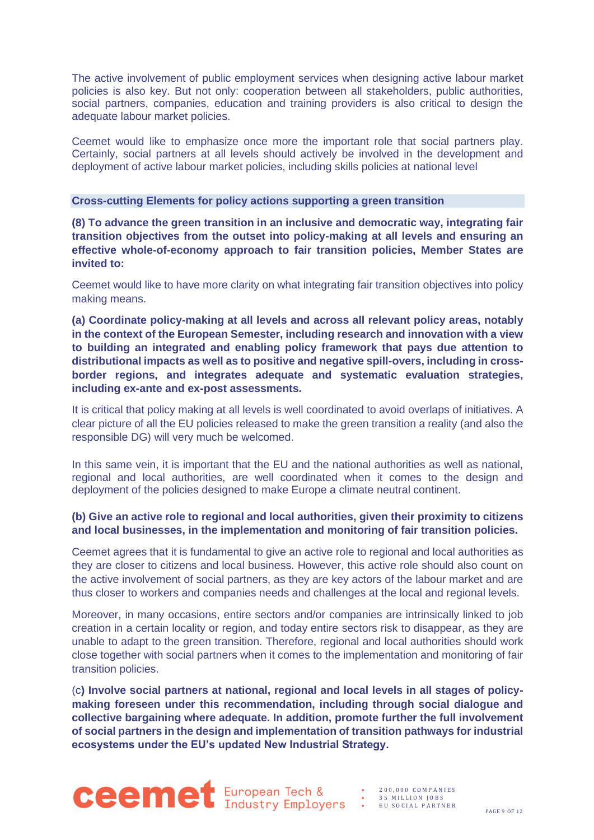The active involvement of public employment services when designing active labour market policies is also key. But not only: cooperation between all stakeholders, public authorities, social partners, companies, education and training providers is also critical to design the adequate labour market policies.

Ceemet would like to emphasize once more the important role that social partners play. Certainly, social partners at all levels should actively be involved in the development and deployment of active labour market policies, including skills policies at national level

#### **Cross-cutting Elements for policy actions supporting a green transition**

**(8) To advance the green transition in an inclusive and democratic way, integrating fair transition objectives from the outset into policy-making at all levels and ensuring an effective whole-of-economy approach to fair transition policies, Member States are invited to:** 

Ceemet would like to have more clarity on what integrating fair transition objectives into policy making means.

**(a) Coordinate policy-making at all levels and across all relevant policy areas, notably in the context of the European Semester, including research and innovation with a view to building an integrated and enabling policy framework that pays due attention to distributional impacts as well as to positive and negative spill-overs, including in crossborder regions, and integrates adequate and systematic evaluation strategies, including ex-ante and ex-post assessments.**

It is critical that policy making at all levels is well coordinated to avoid overlaps of initiatives. A clear picture of all the EU policies released to make the green transition a reality (and also the responsible DG) will very much be welcomed.

In this same vein, it is important that the EU and the national authorities as well as national, regional and local authorities, are well coordinated when it comes to the design and deployment of the policies designed to make Europe a climate neutral continent.

#### **(b) Give an active role to regional and local authorities, given their proximity to citizens and local businesses, in the implementation and monitoring of fair transition policies.**

Ceemet agrees that it is fundamental to give an active role to regional and local authorities as they are closer to citizens and local business. However, this active role should also count on the active involvement of social partners, as they are key actors of the labour market and are thus closer to workers and companies needs and challenges at the local and regional levels.

Moreover, in many occasions, entire sectors and/or companies are intrinsically linked to job creation in a certain locality or region, and today entire sectors risk to disappear, as they are unable to adapt to the green transition. Therefore, regional and local authorities should work close together with social partners when it comes to the implementation and monitoring of fair transition policies.

(c**) Involve social partners at national, regional and local levels in all stages of policymaking foreseen under this recommendation, including through social dialogue and collective bargaining where adequate. In addition, promote further the full involvement of social partners in the design and implementation of transition pathways for industrial ecosystems under the EU's updated New Industrial Strategy.**



• 2 0 0 , 0 0 0 C O M P A N I E S 35 MILLION JOBS EU SOCIAL PARTNER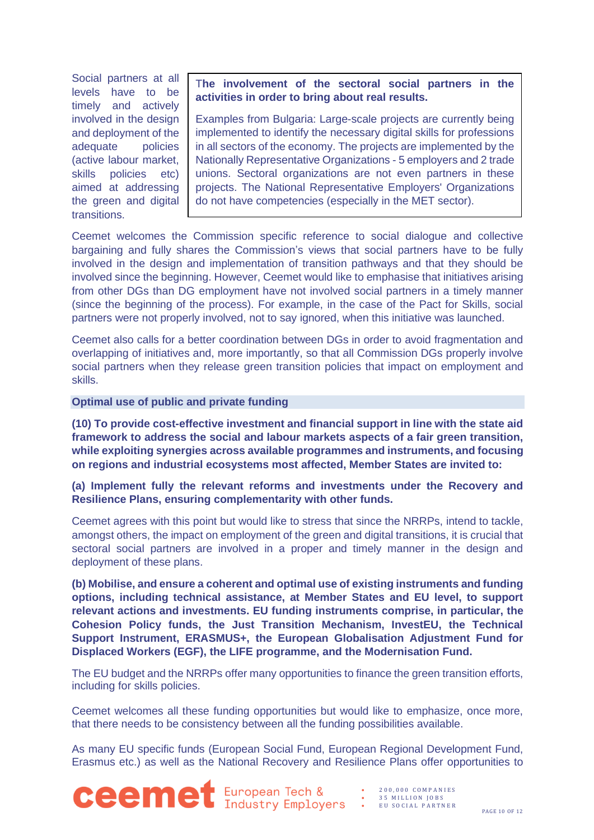Social partners at all levels have to be timely and actively involved in the design and deployment of the adequate policies (active labour market, skills policies etc) aimed at addressing the green and digital transitions.

T**he involvement of the sectoral social partners in the activities in order to bring about real results.**

Examples from Bulgaria: Large-scale projects are currently being implemented to identify the necessary digital skills for professions in all sectors of the economy. The projects are implemented by the Nationally Representative Organizations - 5 employers and 2 trade unions. Sectoral organizations are not even partners in these projects. The National Representative Employers' Organizations do not have competencies (especially in the MET sector).

Ceemet welcomes the Commission specific reference to social dialogue and collective bargaining and fully shares the Commission's views that social partners have to be fully involved in the design and implementation of transition pathways and that they should be involved since the beginning. However, Ceemet would like to emphasise that initiatives arising from other DGs than DG employment have not involved social partners in a timely manner (since the beginning of the process). For example, in the case of the Pact for Skills, social partners were not properly involved, not to say ignored, when this initiative was launched.

Ceemet also calls for a better coordination between DGs in order to avoid fragmentation and overlapping of initiatives and, more importantly, so that all Commission DGs properly involve social partners when they release green transition policies that impact on employment and skills.

#### **Optimal use of public and private funding**

**(10) To provide cost-effective investment and financial support in line with the state aid framework to address the social and labour markets aspects of a fair green transition, while exploiting synergies across available programmes and instruments, and focusing on regions and industrial ecosystems most affected, Member States are invited to:** 

#### **(a) Implement fully the relevant reforms and investments under the Recovery and Resilience Plans, ensuring complementarity with other funds.**

Ceemet agrees with this point but would like to stress that since the NRRPs, intend to tackle, amongst others, the impact on employment of the green and digital transitions, it is crucial that sectoral social partners are involved in a proper and timely manner in the design and deployment of these plans.

**(b) Mobilise, and ensure a coherent and optimal use of existing instruments and funding options, including technical assistance, at Member States and EU level, to support relevant actions and investments. EU funding instruments comprise, in particular, the Cohesion Policy funds, the Just Transition Mechanism, InvestEU, the Technical Support Instrument, ERASMUS+, the European Globalisation Adjustment Fund for Displaced Workers (EGF), the LIFE programme, and the Modernisation Fund.** 

The EU budget and the NRRPs offer many opportunities to finance the green transition efforts, including for skills policies.

Ceemet welcomes all these funding opportunities but would like to emphasize, once more, that there needs to be consistency between all the funding possibilities available.

As many EU specific funds (European Social Fund, European Regional Development Fund, Erasmus etc.) as well as the National Recovery and Resilience Plans offer opportunities to

**Ceemet** European Tech &

- 2 0 0 , 0 0 0 C O M P A N I E S 35 MILLION JOBS
- E U S O C I A L P A R T N E R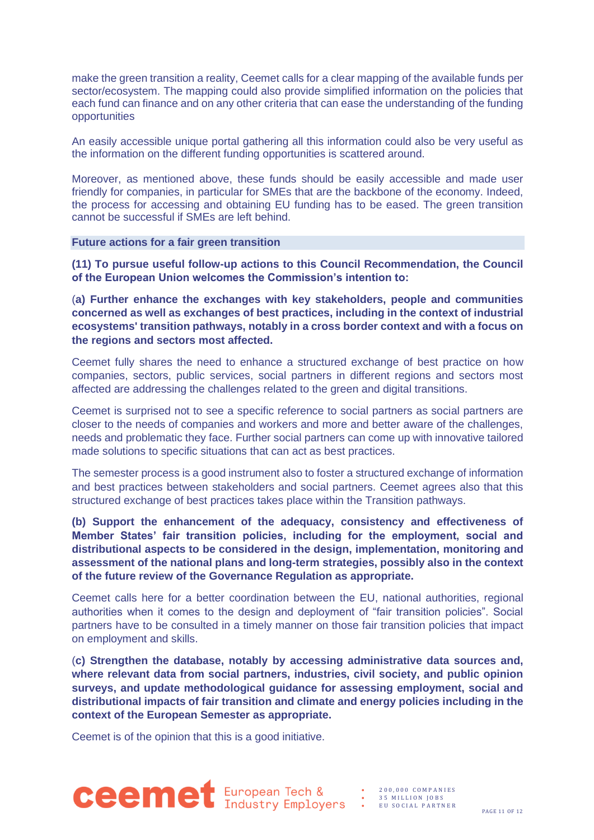make the green transition a reality, Ceemet calls for a clear mapping of the available funds per sector/ecosystem. The mapping could also provide simplified information on the policies that each fund can finance and on any other criteria that can ease the understanding of the funding opportunities

An easily accessible unique portal gathering all this information could also be very useful as the information on the different funding opportunities is scattered around.

Moreover, as mentioned above, these funds should be easily accessible and made user friendly for companies, in particular for SMEs that are the backbone of the economy. Indeed, the process for accessing and obtaining EU funding has to be eased. The green transition cannot be successful if SMEs are left behind.

**Future actions for a fair green transition**

**(11) To pursue useful follow-up actions to this Council Recommendation, the Council of the European Union welcomes the Commission's intention to:** 

(**a) Further enhance the exchanges with key stakeholders, people and communities concerned as well as exchanges of best practices, including in the context of industrial ecosystems' transition pathways, notably in a cross border context and with a focus on the regions and sectors most affected.**

Ceemet fully shares the need to enhance a structured exchange of best practice on how companies, sectors, public services, social partners in different regions and sectors most affected are addressing the challenges related to the green and digital transitions.

Ceemet is surprised not to see a specific reference to social partners as social partners are closer to the needs of companies and workers and more and better aware of the challenges, needs and problematic they face. Further social partners can come up with innovative tailored made solutions to specific situations that can act as best practices.

The semester process is a good instrument also to foster a structured exchange of information and best practices between stakeholders and social partners. Ceemet agrees also that this structured exchange of best practices takes place within the Transition pathways.

**(b) Support the enhancement of the adequacy, consistency and effectiveness of Member States' fair transition policies, including for the employment, social and distributional aspects to be considered in the design, implementation, monitoring and assessment of the national plans and long-term strategies, possibly also in the context of the future review of the Governance Regulation as appropriate.** 

Ceemet calls here for a better coordination between the EU, national authorities, regional authorities when it comes to the design and deployment of "fair transition policies". Social partners have to be consulted in a timely manner on those fair transition policies that impact on employment and skills.

(**c) Strengthen the database, notably by accessing administrative data sources and, where relevant data from social partners, industries, civil society, and public opinion surveys, and update methodological guidance for assessing employment, social and distributional impacts of fair transition and climate and energy policies including in the context of the European Semester as appropriate.**

Ceemet is of the opinion that this is a good initiative.



• 2 0 0 , 0 0 0 C O M P A N I E S 35 MILLION JOBS • E U S O C I A L P A R T N E R